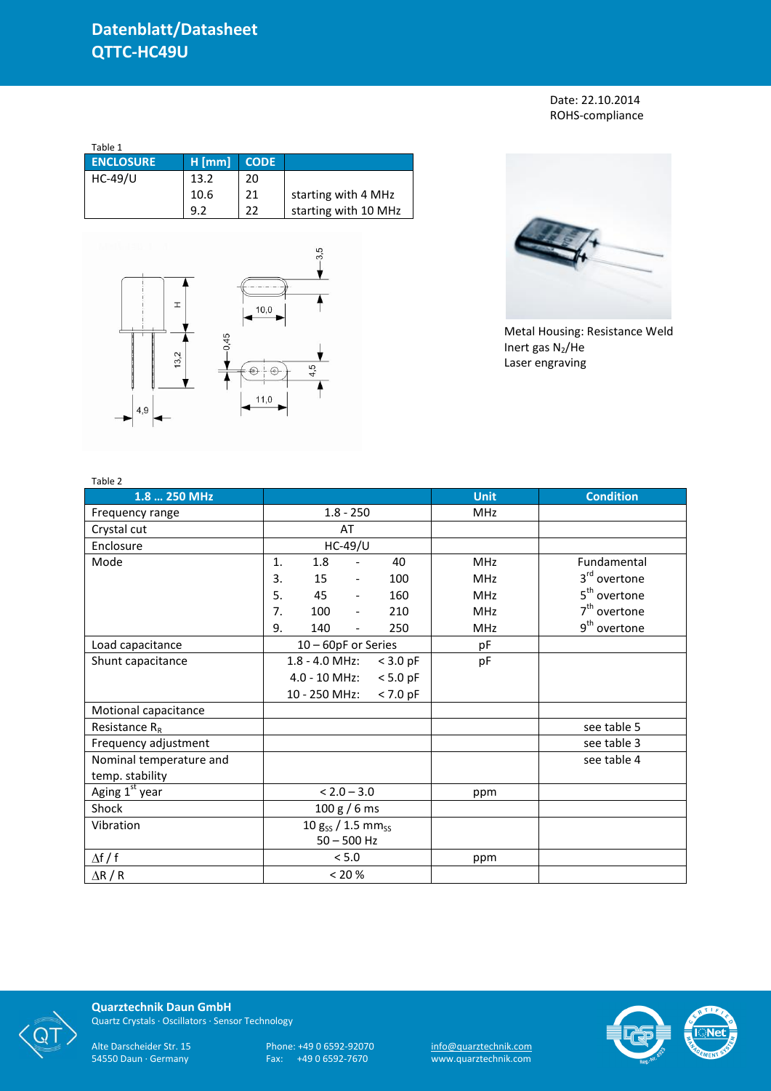Date: 22.10.2014 ROHS-compliance

| Table 1          |          |             |                      |
|------------------|----------|-------------|----------------------|
| <b>ENCLOSURE</b> | $H$ [mm] | <b>CODE</b> |                      |
| HC-49/U          | 13.2     | 20          |                      |
|                  | 10.6     | 21          | starting with 4 MHz  |
|                  | 9.2      | 22          | starting with 10 MHz |





Metal Housing: Resistance Weld Inert gas  $N_2$ /He Laser engraving

| Table 2                    |                                              |             |                          |
|----------------------------|----------------------------------------------|-------------|--------------------------|
| 1.8  250 MHz               |                                              | <b>Unit</b> | <b>Condition</b>         |
| Frequency range            | $1.8 - 250$                                  | <b>MHz</b>  |                          |
| Crystal cut                | AT                                           |             |                          |
| Enclosure                  | <b>HC-49/U</b>                               |             |                          |
| Mode                       | 1.<br>1.8<br>40                              | <b>MHz</b>  | Fundamental              |
|                            | 15<br>100<br>3.<br>$\overline{\phantom{a}}$  | <b>MHz</b>  | 3 <sup>rd</sup> overtone |
|                            | 5.<br>45<br>160<br>$\overline{\phantom{a}}$  | <b>MHz</b>  | 5 <sup>th</sup> overtone |
|                            | 7.<br>100<br>210<br>$\blacksquare$           | <b>MHz</b>  | 7 <sup>th</sup> overtone |
|                            | 9.<br>140<br>250<br>$\overline{\phantom{a}}$ | <b>MHz</b>  | 9 <sup>th</sup> overtone |
| Load capacitance           | 10 - 60pF or Series                          | pF          |                          |
| Shunt capacitance          | 1.8 - 4.0 MHz:<br>$<$ 3.0 pF                 | pF          |                          |
|                            | $4.0 - 10$ MHz:<br>$< 5.0$ pF                |             |                          |
|                            | 10 - 250 MHz:<br>$< 7.0$ pF                  |             |                          |
| Motional capacitance       |                                              |             |                          |
| Resistance $R_R$           |                                              |             | see table 5              |
| Frequency adjustment       |                                              |             | see table 3              |
| Nominal temperature and    |                                              |             | see table 4              |
| temp. stability            |                                              |             |                          |
| Aging 1 <sup>st</sup> year | $< 2.0 - 3.0$                                | ppm         |                          |
| Shock                      | 100 g / 6 ms                                 |             |                          |
| Vibration                  | 10 $g_{SS}$ / 1.5 mm <sub>ss</sub>           |             |                          |
|                            | $50 - 500$ Hz                                |             |                          |
| $\Delta f / f$             | < 5.0                                        | ppm         |                          |
| $\Delta$ R / R             | < 20 %                                       |             |                          |



**Quarztechnik Daun GmbH** Quartz Crystals · Oscillators · Sensor Technology

Alte Darscheider Str. 15 Phone: +49 0 6592-92070 <u>info@quarztechnik.com</u>

54550 Daun · Germany Fax: +49 0 6592-7670 www.quarztechnik.com